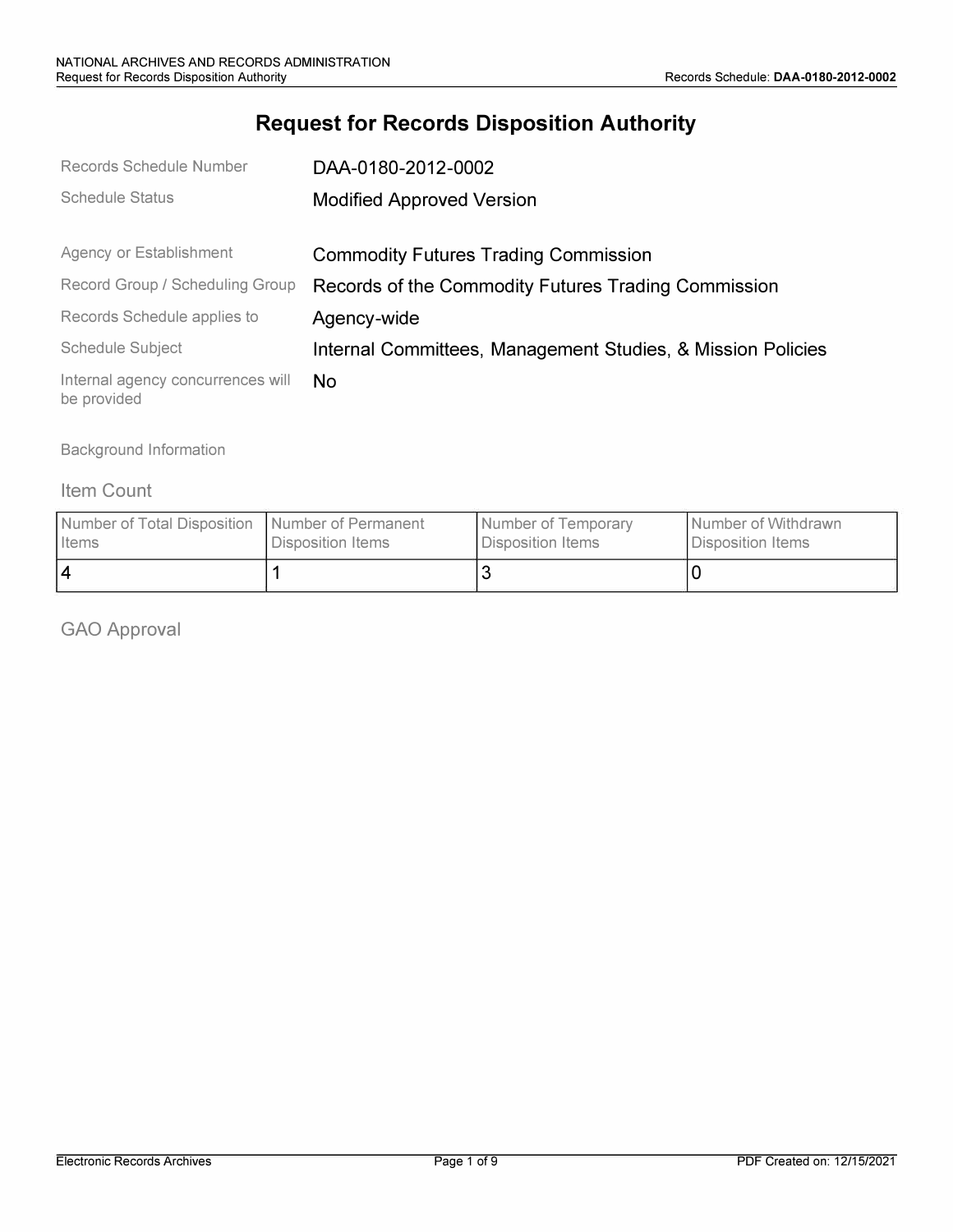# **Request for Records Disposition Authority**

| Records Schedule Number                          | DAA-0180-2012-0002                                          |
|--------------------------------------------------|-------------------------------------------------------------|
| <b>Schedule Status</b>                           | <b>Modified Approved Version</b>                            |
| Agency or Establishment                          | <b>Commodity Futures Trading Commission</b>                 |
| Record Group / Scheduling Group                  | Records of the Commodity Futures Trading Commission         |
| Records Schedule applies to                      | Agency-wide                                                 |
| <b>Schedule Subject</b>                          | Internal Committees, Management Studies, & Mission Policies |
| Internal agency concurrences will<br>be provided | No.                                                         |

Background Information

### Item Count

| Number of Total Disposition   Number of Permanent | Disposition Items | Number of Temporary | Number of Withdrawn |
|---------------------------------------------------|-------------------|---------------------|---------------------|
| <b>I</b> Items                                    |                   | Disposition Items   | Disposition Items   |
|                                                   |                   |                     |                     |

GAO Approval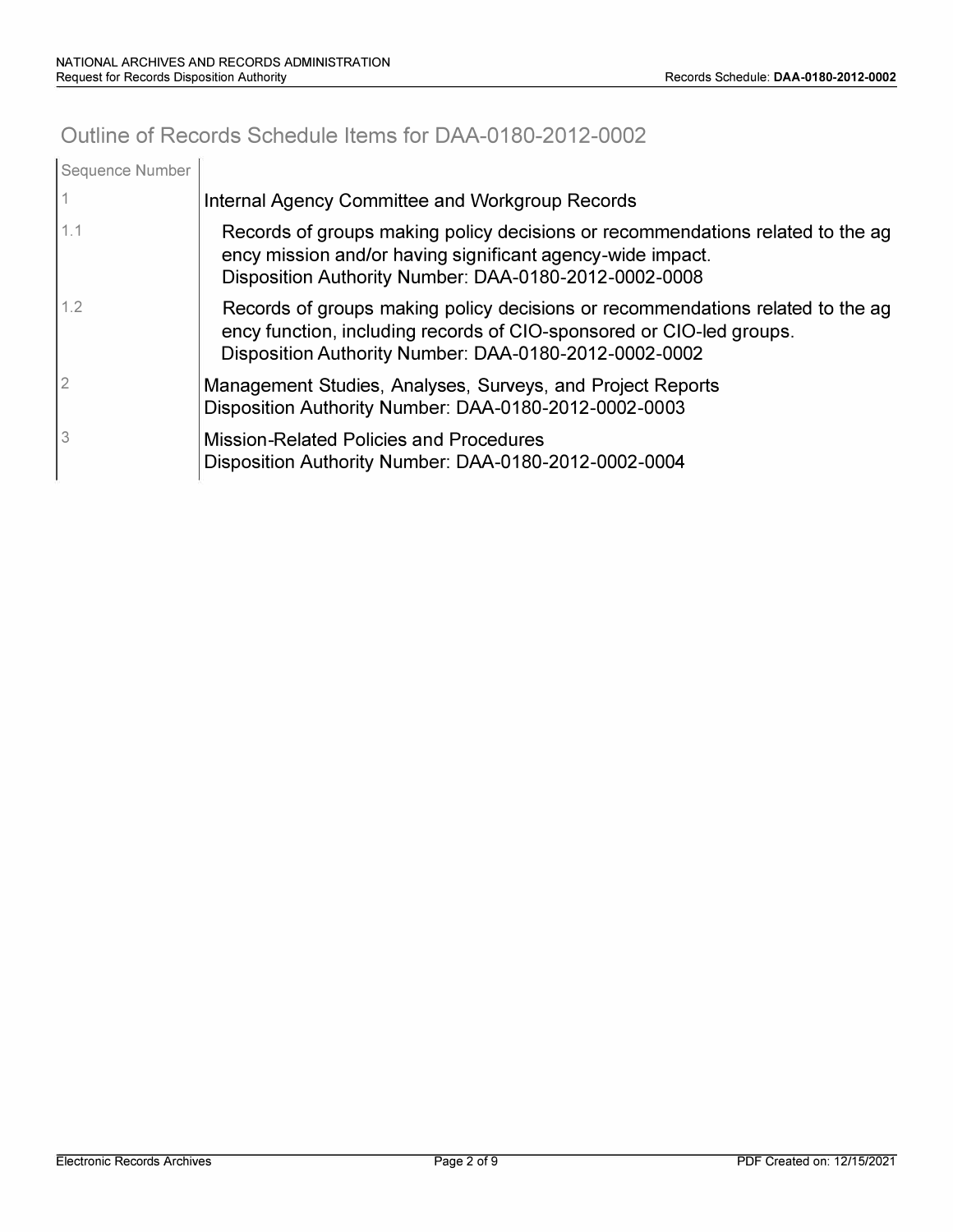## **Outline of Records Schedule Items for DAA-0180-2012-0002**

| Sequence Number |                                                                                                                                                                                                                 |
|-----------------|-----------------------------------------------------------------------------------------------------------------------------------------------------------------------------------------------------------------|
|                 | Internal Agency Committee and Workgroup Records                                                                                                                                                                 |
| 1.1             | Records of groups making policy decisions or recommendations related to the ag<br>ency mission and/or having significant agency-wide impact.<br>Disposition Authority Number: DAA-0180-2012-0002-0008           |
| 1.2             | Records of groups making policy decisions or recommendations related to the ag<br>ency function, including records of CIO-sponsored or CIO-led groups.<br>Disposition Authority Number: DAA-0180-2012-0002-0002 |
| 2               | Management Studies, Analyses, Surveys, and Project Reports<br>Disposition Authority Number: DAA-0180-2012-0002-0003                                                                                             |
| 3               | <b>Mission-Related Policies and Procedures</b><br>Disposition Authority Number: DAA-0180-2012-0002-0004                                                                                                         |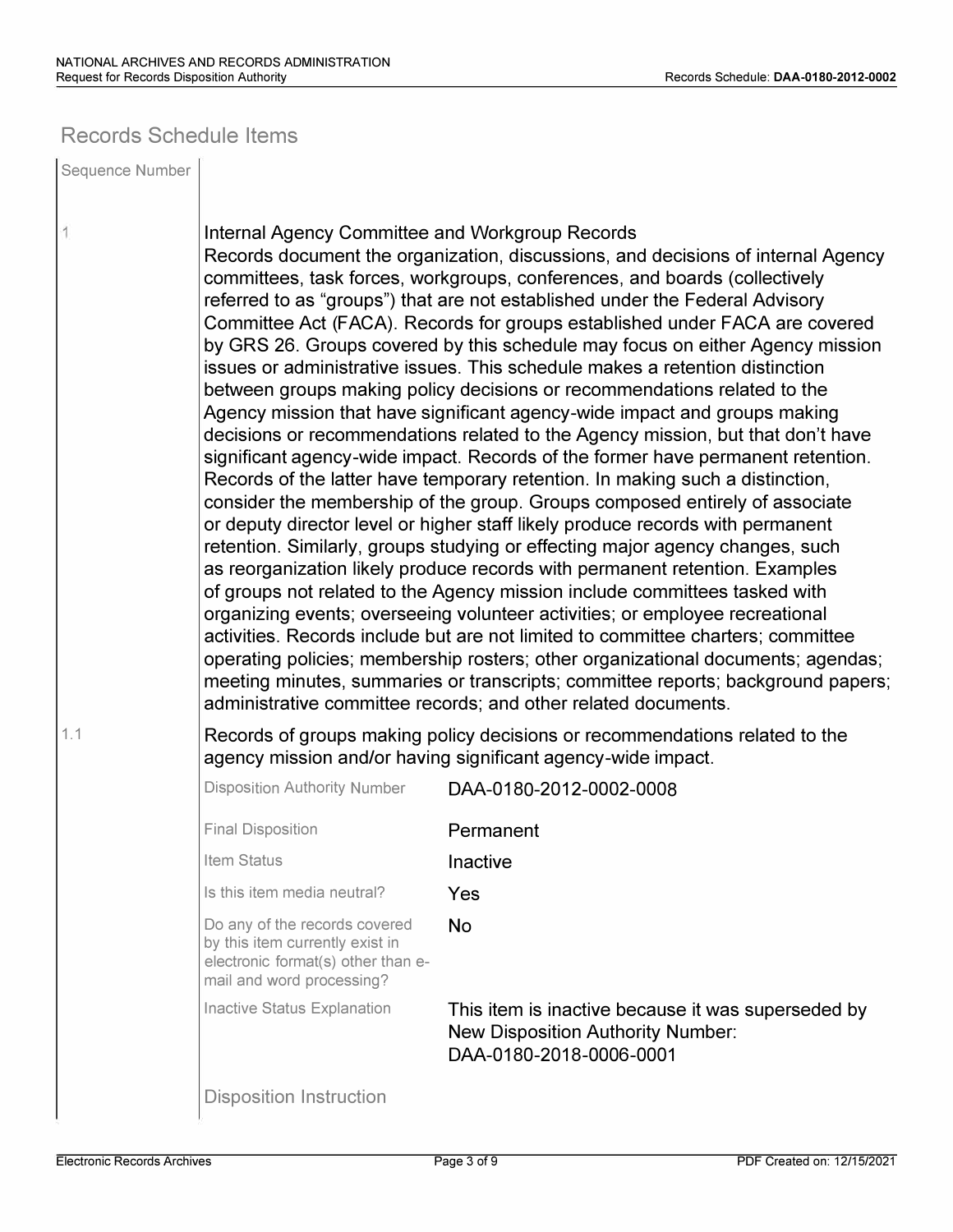## **Records Schedule Items**

Sequence Number

1

Internal Agency Committee and Workgroup Records Records document the organization, discussions, and decisions of internal Agency committees, task forces, workgroups, conferences, and boards (collectively referred to as "groups") that are not established under the Federal Advisory Committee Act (FACA). Records for groups established under FACA are covered by GRS 26. Groups covered by this schedule may focus on either Agency mission issues or administrative issues. This schedule makes a retention distinction between groups making policy decisions or recommendations related to the Agency mission that have significant agency-wide impact and groups making decisions or recommendations related to the Agency mission, but that don't have significant agency-wide impact. Records of the former have permanent retention. Records of the latter have temporary retention. In making such a distinction, consider the membership of the group. Groups composed entirely of associate or deputy director level or higher staff likely produce records with permanent retention. Similarly, groups studying or effecting major agency changes, such as reorganization likely produce records with permanent retention. Examples of groups not related to the Agency mission include committees tasked with organizing events; overseeing volunteer activities; or employee recreational activities. Records include but are not limited to committee charters; committee operating policies; membership rosters; other organizational documents; agendas; meeting minutes, summaries or transcripts; committee reports; background papers; administrative committee records; and other related documents.

### Records of groups making policy decisions or recommendations related to the agency mission and/or having significant agency-wide impact.

| <b>Disposition Authority Number</b>                                                                                                 | DAA-0180-2012-0002-0008                                                                                                   |
|-------------------------------------------------------------------------------------------------------------------------------------|---------------------------------------------------------------------------------------------------------------------------|
| <b>Final Disposition</b>                                                                                                            | Permanent                                                                                                                 |
| Item Status                                                                                                                         | Inactive                                                                                                                  |
| Is this item media neutral?                                                                                                         | Yes                                                                                                                       |
| Do any of the records covered<br>by this item currently exist in<br>electronic format(s) other than e-<br>mail and word processing? | No.                                                                                                                       |
| <b>Inactive Status Explanation</b>                                                                                                  | This item is inactive because it was superseded by<br><b>New Disposition Authority Number:</b><br>DAA-0180-2018-0006-0001 |
| <b>Disposition Instruction</b>                                                                                                      |                                                                                                                           |

1.1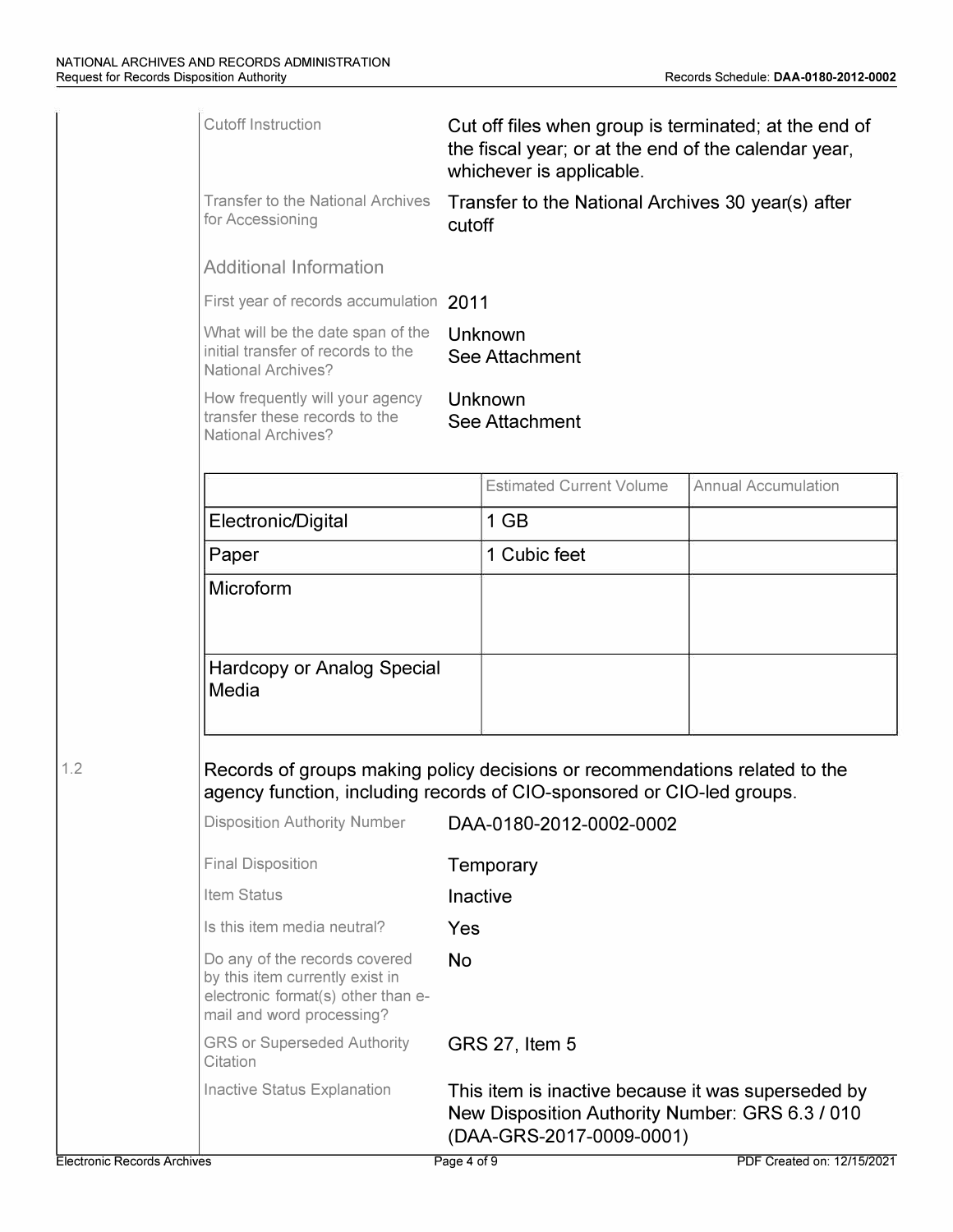| <b>Cutoff Instruction</b>                                                                                                                             | Cut off files when group is terminated; at the end of<br>the fiscal year; or at the end of the calendar year,<br>whichever is applicable. |                                 |                            |
|-------------------------------------------------------------------------------------------------------------------------------------------------------|-------------------------------------------------------------------------------------------------------------------------------------------|---------------------------------|----------------------------|
| <b>Transfer to the National Archives</b><br>for Accessioning                                                                                          | Transfer to the National Archives 30 year(s) after<br>cutoff                                                                              |                                 |                            |
| <b>Additional Information</b>                                                                                                                         |                                                                                                                                           |                                 |                            |
| First year of records accumulation 2011                                                                                                               |                                                                                                                                           |                                 |                            |
| What will be the date span of the<br>initial transfer of records to the<br><b>National Archives?</b>                                                  | Unknown<br>See Attachment                                                                                                                 |                                 |                            |
| How frequently will your agency<br>transfer these records to the<br><b>National Archives?</b>                                                         |                                                                                                                                           | Unknown<br>See Attachment       |                            |
|                                                                                                                                                       |                                                                                                                                           | <b>Estimated Current Volume</b> | <b>Annual Accumulation</b> |
| Electronic/Digital                                                                                                                                    |                                                                                                                                           | $1$ GB                          |                            |
| Paper                                                                                                                                                 |                                                                                                                                           | 1 Cubic feet                    |                            |
| Hardcopy or Analog Special<br>Media                                                                                                                   |                                                                                                                                           |                                 |                            |
| Records of groups making policy decisions or recommendations related to the<br>agency function, including records of CIO-sponsored or CIO-led groups. |                                                                                                                                           |                                 |                            |
| <b>Disposition Authority Number</b>                                                                                                                   |                                                                                                                                           | DAA-0180-2012-0002-0002         |                            |
| <b>Final Disposition</b>                                                                                                                              | Temporary                                                                                                                                 |                                 |                            |
|                                                                                                                                                       |                                                                                                                                           |                                 |                            |
| Item Status                                                                                                                                           |                                                                                                                                           | Inactive                        |                            |
| Is this item media neutral?                                                                                                                           | Yes                                                                                                                                       |                                 |                            |
| Do any of the records covered<br>by this item currently exist in<br>electronic format(s) other than e-<br>mail and word processing?                   | No                                                                                                                                        |                                 |                            |
| <b>GRS or Superseded Authority</b><br>Citation                                                                                                        |                                                                                                                                           | <b>GRS 27, Item 5</b>           |                            |

1.2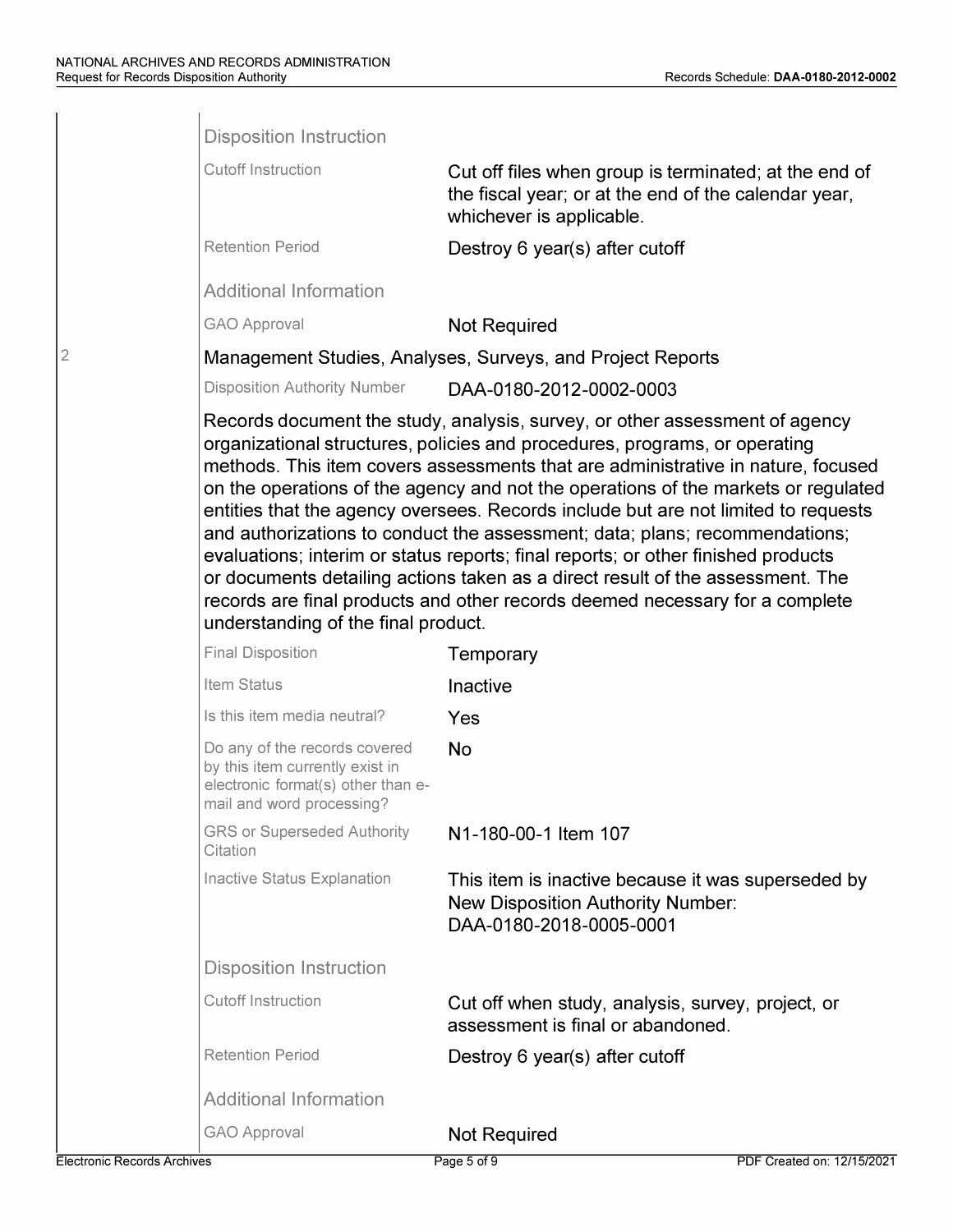2

| <b>Cutoff Instruction</b>                                                                                                           | Cut off files when group is terminated; at the end of<br>the fiscal year; or at the end of the calendar year,<br>whichever is applicable.                                                                                                                                                                                          |
|-------------------------------------------------------------------------------------------------------------------------------------|------------------------------------------------------------------------------------------------------------------------------------------------------------------------------------------------------------------------------------------------------------------------------------------------------------------------------------|
| <b>Retention Period</b>                                                                                                             | Destroy 6 year(s) after cutoff                                                                                                                                                                                                                                                                                                     |
| <b>Additional Information</b>                                                                                                       |                                                                                                                                                                                                                                                                                                                                    |
| <b>GAO Approval</b>                                                                                                                 | <b>Not Required</b>                                                                                                                                                                                                                                                                                                                |
|                                                                                                                                     | Management Studies, Analyses, Surveys, and Project Reports                                                                                                                                                                                                                                                                         |
| <b>Disposition Authority Number</b>                                                                                                 | DAA-0180-2012-0002-0003                                                                                                                                                                                                                                                                                                            |
| understanding of the final product.                                                                                                 | and authorizations to conduct the assessment; data; plans; recommendations;<br>evaluations; interim or status reports; final reports; or other finished products<br>or documents detailing actions taken as a direct result of the assessment. The<br>records are final products and other records deemed necessary for a complete |
| <b>Final Disposition</b>                                                                                                            | Temporary                                                                                                                                                                                                                                                                                                                          |
| Item Status                                                                                                                         |                                                                                                                                                                                                                                                                                                                                    |
|                                                                                                                                     | Inactive                                                                                                                                                                                                                                                                                                                           |
| Is this item media neutral?                                                                                                         | Yes                                                                                                                                                                                                                                                                                                                                |
| Do any of the records covered<br>by this item currently exist in<br>electronic format(s) other than e-<br>mail and word processing? | <b>No</b>                                                                                                                                                                                                                                                                                                                          |
| <b>GRS or Superseded Authority</b><br>Citation                                                                                      | N1-180-00-1 Item 107                                                                                                                                                                                                                                                                                                               |
|                                                                                                                                     | <b>New Disposition Authority Number:</b><br>DAA-0180-2018-0005-0001                                                                                                                                                                                                                                                                |
| Inactive Status Explanation<br><b>Disposition Instruction</b>                                                                       | This item is inactive because it was superseded by                                                                                                                                                                                                                                                                                 |
| <b>Cutoff Instruction</b>                                                                                                           | Cut off when study, analysis, survey, project, or<br>assessment is final or abandoned.                                                                                                                                                                                                                                             |
| <b>Retention Period</b>                                                                                                             | Destroy 6 year(s) after cutoff                                                                                                                                                                                                                                                                                                     |
| <b>Additional Information</b>                                                                                                       |                                                                                                                                                                                                                                                                                                                                    |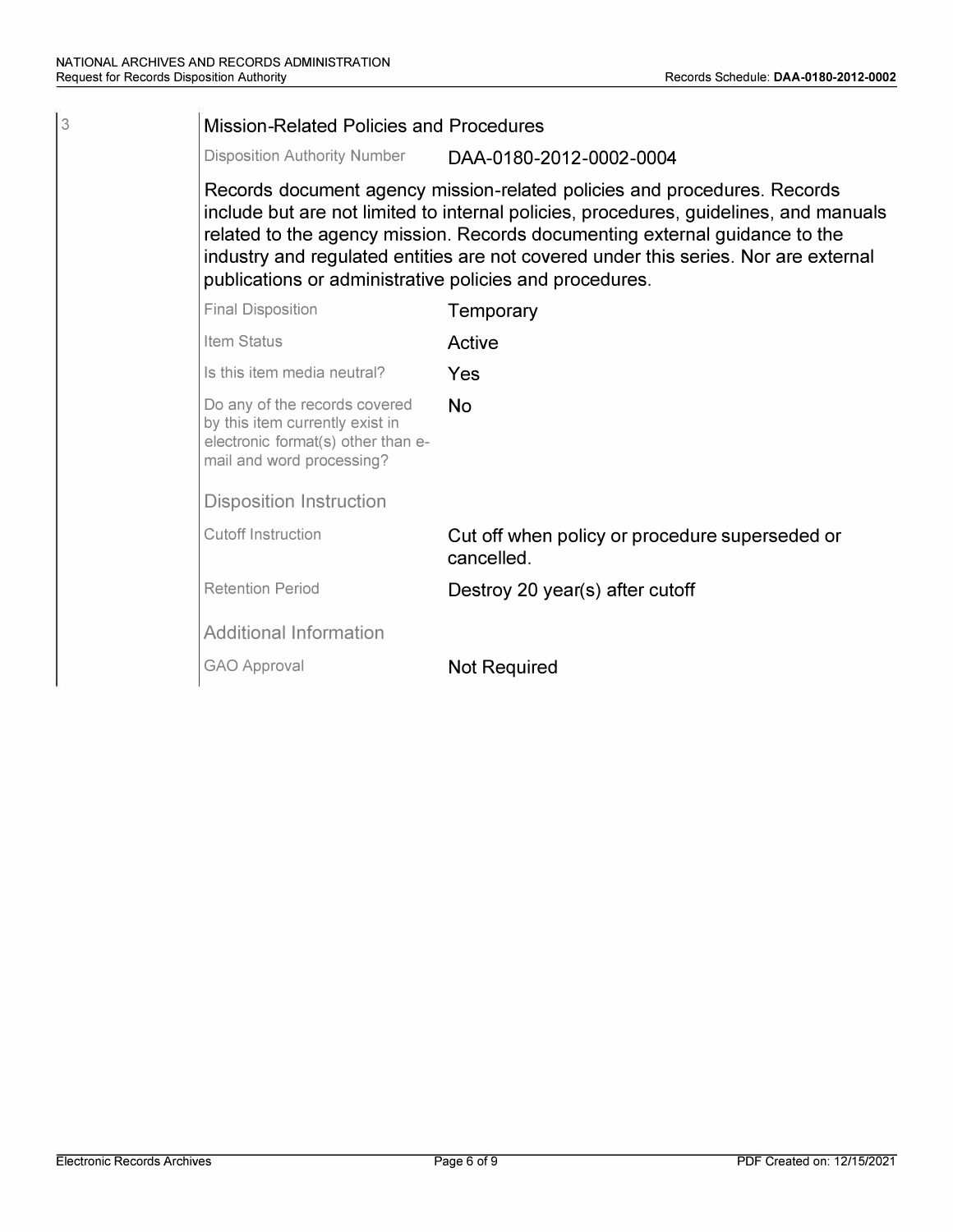3

| <b>Mission-Related Policies and Procedures</b>                                                                                                                                                                                                                                                                                                                                                     |                                                              |  |  |  |
|----------------------------------------------------------------------------------------------------------------------------------------------------------------------------------------------------------------------------------------------------------------------------------------------------------------------------------------------------------------------------------------------------|--------------------------------------------------------------|--|--|--|
| <b>Disposition Authority Number</b>                                                                                                                                                                                                                                                                                                                                                                | DAA-0180-2012-0002-0004                                      |  |  |  |
| Records document agency mission-related policies and procedures. Records<br>include but are not limited to internal policies, procedures, guidelines, and manuals<br>related to the agency mission. Records documenting external guidance to the<br>industry and regulated entities are not covered under this series. Nor are external<br>publications or administrative policies and procedures. |                                                              |  |  |  |
| <b>Final Disposition</b>                                                                                                                                                                                                                                                                                                                                                                           | Temporary                                                    |  |  |  |
| Item Status                                                                                                                                                                                                                                                                                                                                                                                        | Active                                                       |  |  |  |
| Is this item media neutral?                                                                                                                                                                                                                                                                                                                                                                        | Yes                                                          |  |  |  |
| Do any of the records covered<br>by this item currently exist in<br>electronic format(s) other than e-<br>mail and word processing?                                                                                                                                                                                                                                                                | <b>No</b>                                                    |  |  |  |
| <b>Disposition Instruction</b>                                                                                                                                                                                                                                                                                                                                                                     |                                                              |  |  |  |
| <b>Cutoff Instruction</b>                                                                                                                                                                                                                                                                                                                                                                          | Cut off when policy or procedure superseded or<br>cancelled. |  |  |  |
| <b>Retention Period</b>                                                                                                                                                                                                                                                                                                                                                                            | Destroy 20 year(s) after cutoff                              |  |  |  |
| <b>Additional Information</b>                                                                                                                                                                                                                                                                                                                                                                      |                                                              |  |  |  |
| GAO Approval                                                                                                                                                                                                                                                                                                                                                                                       | <b>Not Required</b>                                          |  |  |  |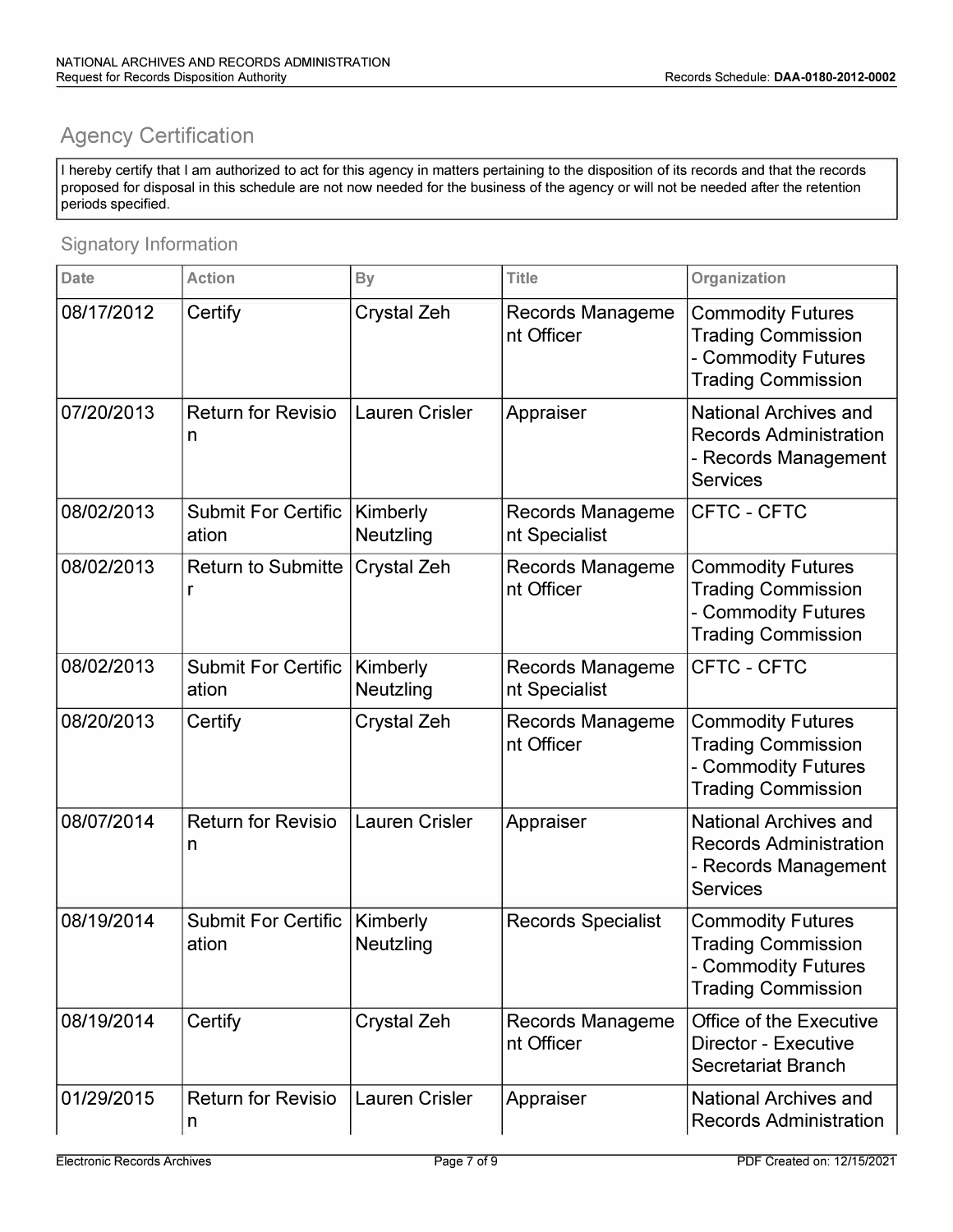## **Agency Certification**

I hereby certify that I am authorized to act for this agency in matters pertaining to the disposition of its records and that the records proposed for disposal in this schedule are not now needed for the business of the agency or will not be needed after the retention periods specified.

### Signatory Information

| <b>Date</b> | <b>Action</b>                       | <b>By</b>             | <b>Title</b>                          | <b>Organization</b>                                                                                       |
|-------------|-------------------------------------|-----------------------|---------------------------------------|-----------------------------------------------------------------------------------------------------------|
| 08/17/2012  | Certify                             | Crystal Zeh           | Records Manageme<br>nt Officer        | <b>Commodity Futures</b><br><b>Trading Commission</b><br>- Commodity Futures<br><b>Trading Commission</b> |
| 07/20/2013  | <b>Return for Revisio</b><br>n      | <b>Lauren Crisler</b> | Appraiser                             | <b>National Archives and</b><br><b>Records Administration</b><br>- Records Management<br><b>Services</b>  |
| 08/02/2013  | <b>Submit For Certific</b><br>ation | Kimberly<br>Neutzling | Records Manageme<br>nt Specialist     | CFTC - CFTC                                                                                               |
| 08/02/2013  | <b>Return to Submitte</b><br>r      | <b>Crystal Zeh</b>    | Records Manageme<br>nt Officer        | <b>Commodity Futures</b><br><b>Trading Commission</b><br>- Commodity Futures<br><b>Trading Commission</b> |
| 08/02/2013  | <b>Submit For Certific</b><br>ation | Kimberly<br>Neutzling | Records Manageme<br>nt Specialist     | CFTC - CFTC                                                                                               |
| 08/20/2013  | Certify                             | <b>Crystal Zeh</b>    | <b>Records Manageme</b><br>nt Officer | <b>Commodity Futures</b><br><b>Trading Commission</b><br>- Commodity Futures<br><b>Trading Commission</b> |
| 08/07/2014  | <b>Return for Revisio</b><br>n      | <b>Lauren Crisler</b> | Appraiser                             | <b>National Archives and</b><br><b>Records Administration</b><br>- Records Management<br><b>Services</b>  |
| 08/19/2014  | <b>Submit For Certific</b><br>ation | Kimberly<br>Neutzling | <b>Records Specialist</b>             | <b>Commodity Futures</b><br><b>Trading Commission</b><br>- Commodity Futures<br><b>Trading Commission</b> |
| 08/19/2014  | Certify                             | Crystal Zeh           | <b>Records Manageme</b><br>nt Officer | Office of the Executive<br><b>Director - Executive</b><br>Secretariat Branch                              |
| 01/29/2015  | <b>Return for Revisio</b><br>n      | <b>Lauren Crisler</b> | Appraiser                             | <b>National Archives and</b><br><b>Records Administration</b>                                             |